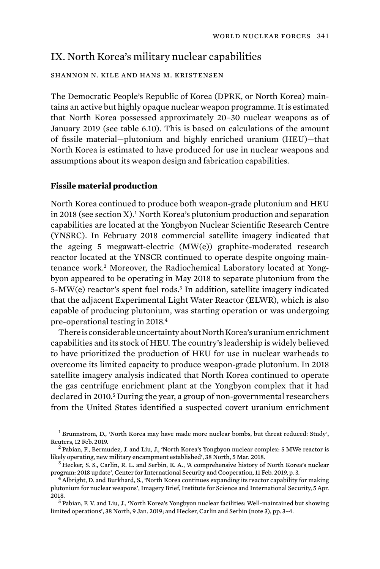# IX. North Korea's military nuclear capabilities

# shannon n. kile and hans m. kristensen

The Democratic People's Republic of Korea (DPRK, or North Korea) maintains an active but highly opaque nuclear weapon programme. It is estimated that North Korea possessed approximately 20–30 nuclear weapons as of January 2019 (see table 6.10). This is based on calculations of the amount of fissile material—plutonium and highly enriched uranium (HEU)—that North Korea is estimated to have produced for use in nuclear weapons and assumptions about its weapon design and fabrication capabilities.

## **Fissile material production**

North Korea continued to produce both weapon-grade plutonium and HEU in 2018 (see section  $X$ ).<sup>1</sup> North Korea's plutonium production and separation capabilities are located at the Yongbyon Nuclear Scientific Research Centre (YNSRC). In February 2018 commercial satellite imagery indicated that the ageing 5 megawatt-electric (MW(e)) graphite-moderated research reactor located at the YNSCR continued to operate despite ongoing maintenance work.2 Moreover, the Radiochemical Laboratory located at Yongbyon appeared to be operating in May 2018 to separate plutonium from the 5-MW(e) reactor's spent fuel rods.<sup>3</sup> In addition, satellite imagery indicated that the adjacent Experimental Light Water Reactor (ELWR), which is also capable of producing plutonium, was starting operation or was undergoing pre-operational testing in 2018.<sup>4</sup>

There is considerable uncertainty about North Korea's uranium enrichment capabilities and its stock of HEU. The country's leadership is widely believed to have prioritized the production of HEU for use in nuclear warheads to overcome its limited capacity to produce weapon-grade plutonium. In 2018 satellite imagery analysis indicated that North Korea continued to operate the gas centrifuge enrichment plant at the Yongbyon complex that it had declared in 2010.<sup>5</sup> During the year, a group of non-governmental researchers from the United States identified a suspected covert uranium enrichment

<sup>&</sup>lt;sup>1</sup> Brunnstrom, D., 'North Korea may have made more nuclear bombs, but threat reduced: Study', Reuters, 12 Feb. 2019.<br><sup>2</sup> Pabian, F., Bermudez, J. and Liu, J., 'North Korea's Yongbyon nuclear complex: 5 MWe reactor is

likely operating, new military encampment established', 38 North, 5 Mar. 2018.<br><sup>3</sup> Hecker, S. S., Carlin, R. L. and Serbin, E. A., 'A comprehensive history of North Korea's nuclear

program: 2018 update', Center for International Security and Cooperation, 11 Feb. 2019, p. 3. <sup>4</sup> Albright, D. and Burkhard, S., 'North Korea continues expanding its reactor capability for making

plutonium for nuclear weapons', Imagery Brief, Institute for Science and International Security, 5 Apr. 2018.<br><sup>5</sup> Pabian, F. V. and Liu, J., 'North Korea's Yongbyon nuclear facilities: Well-maintained but showing

limited operations', 38 North, 9 Jan. 2019; and Hecker, Carlin and Serbin (note 3), pp. 3–4.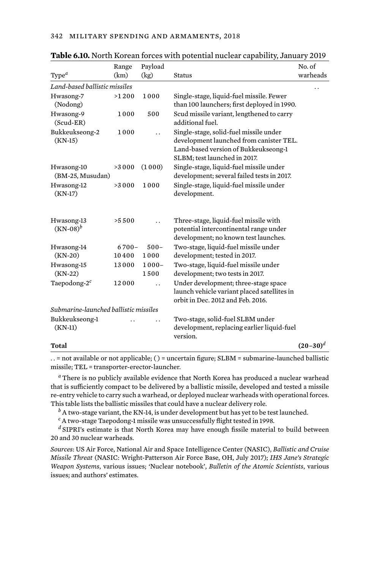| Type <sup>a</sup>                     | Range<br>(km)     | Payload<br>(kg)      | <b>Status</b>                                                                                                                                             | No. of<br>warheads |  |
|---------------------------------------|-------------------|----------------------|-----------------------------------------------------------------------------------------------------------------------------------------------------------|--------------------|--|
| Land-based ballistic missiles         |                   |                      |                                                                                                                                                           |                    |  |
| Hwasong-7<br>(Nodong)                 | >1200             | 1000                 | Single-stage, liquid-fuel missile. Fewer<br>than 100 launchers; first deployed in 1990.                                                                   |                    |  |
| Hwasong-9<br>(Scud-ER)                | 1000              | 500                  | Scud missile variant, lengthened to carry<br>additional fuel.                                                                                             |                    |  |
| Bukkeukseong-2<br>$(KN-15)$           | 1000              |                      | Single-stage, solid-fuel missile under<br>development launched from canister TEL.<br>Land-based version of Bukkeukseong-1<br>SLBM; test launched in 2017. |                    |  |
| Hwasong-10<br>(BM-25, Musudan)        | >3000             | (1000)               | Single-stage, liquid-fuel missile under<br>development; several failed tests in 2017.                                                                     |                    |  |
| Hwasong-12<br>$(KN-17)$               | >3000             | 1000                 | Single-stage, liquid-fuel missile under<br>development.                                                                                                   |                    |  |
| Hwasong-13<br>$(KN-08)^b$             | >5.500            | $\ddot{\phantom{0}}$ | Three-stage, liquid-fuel missile with<br>potential intercontinental range under<br>development; no known test launches.                                   |                    |  |
| Hwasong-14<br>$(KN-20)$               | $6700 -$<br>10400 | $500 -$<br>1000      | Two-stage, liquid-fuel missile under<br>development; tested in 2017.                                                                                      |                    |  |
| Hwasong-15<br>$(KN-22)$               | 13000             | $1000 -$<br>1500     | Two-stage, liquid-fuel missile under<br>development; two tests in 2017.                                                                                   |                    |  |
| Taepodong-2 <sup>c</sup>              | 12000             |                      | Under development; three-stage space<br>launch vehicle variant placed satellites in<br>orbit in Dec. 2012 and Feb. 2016.                                  |                    |  |
| Submarine-launched ballistic missiles |                   |                      |                                                                                                                                                           |                    |  |
| Bukkeukseong-1<br>$(KN-11)$           |                   |                      | Two-stage, solid-fuel SLBM under<br>development, replacing earlier liquid-fuel<br>version.                                                                |                    |  |
| Total                                 |                   |                      |                                                                                                                                                           | $(20-30)^d$        |  |

|  |  | Table 6.10. North Korean forces with potential nuclear capability, January 2019 |
|--|--|---------------------------------------------------------------------------------|
|--|--|---------------------------------------------------------------------------------|

. . = not available or not applicable; ( ) = uncertain figure; SLBM = submarine-launched ballistic missile; TEL = transporter-erector-launcher.

*<sup>a</sup>* There is no publicly available evidence that North Korea has produced a nuclear warhead that is sufficiently compact to be delivered by a ballistic missile, developed and tested a missile re-entry vehicle to carry such a warhead, or deployed nuclear warheads with operational forces. This table lists the ballistic missiles that could have a nuclear delivery role.

*<sup>b</sup>* A two-stage variant, the KN-14, is under development but has yet to be test launched.

*<sup>c</sup>* A two-stage Taepodong-1 missile was unsuccessfully flight tested in 1998.

*<sup>d</sup>* SIPRI's estimate is that North Korea may have enough fissile material to build between 20 and 30 nuclear warheads.

*Sources*: US Air Force, National Air and Space Intelligence Center (NASIC), *Ballistic and Cruise Missile Threat* (NASIC: Wright-Patterson Air Force Base, OH, July 2017); *IHS Jane's Strategic Weapon Systems*, various issues; 'Nuclear notebook', *Bulletin of the Atomic Scientists*, various issues; and authors' estimates.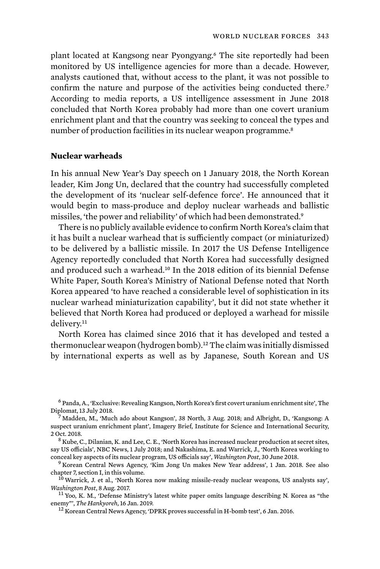plant located at Kangsong near Pyongyang.6 The site reportedly had been monitored by US intelligence agencies for more than a decade. However, analysts cautioned that, without access to the plant, it was not possible to confirm the nature and purpose of the activities being conducted there.<sup>7</sup> According to media reports, a US intelligence assessment in June 2018 concluded that North Korea probably had more than one covert uranium enrichment plant and that the country was seeking to conceal the types and number of production facilities in its nuclear weapon programme.<sup>8</sup>

## **Nuclear warheads**

In his annual New Year's Day speech on 1 January 2018, the North Korean leader, Kim Jong Un, declared that the country had successfully completed the development of its 'nuclear self-defence force'. He announced that it would begin to mass-produce and deploy nuclear warheads and ballistic missiles, 'the power and reliability' of which had been demonstrated.<sup>9</sup>

There is no publicly available evidence to confirm North Korea's claim that it has built a nuclear warhead that is sufficiently compact (or miniaturized) to be delivered by a ballistic missile. In 2017 the US Defense Intelligence Agency reportedly concluded that North Korea had successfully designed and produced such a warhead.10 In the 2018 edition of its biennial Defense White Paper, South Korea's Ministry of National Defense noted that North Korea appeared 'to have reached a considerable level of sophistication in its nuclear warhead miniaturization capability', but it did not state whether it believed that North Korea had produced or deployed a warhead for missile delivery.<sup>11</sup>

North Korea has claimed since 2016 that it has developed and tested a thermonuclear weapon (hydrogen bomb).12 The claim was initially dismissed by international experts as well as by Japanese, South Korean and US

<sup>6</sup> Panda, A., 'Exclusive: Revealing Kangson, North Korea's first covert uranium enrichment site', The Diplomat, 13 July 2018. <sup>7</sup> Madden, M., 'Much ado about Kangson', 38 North, 3 Aug. 2018; and Albright, D., 'Kangsong: A

suspect uranium enrichment plant', Imagery Brief, Institute for Science and International Security, 2 Oct. 2018.<br><sup>8</sup> Kube, C., Dilanian, K. and Lee, C. E., 'North Korea has increased nuclear production at secret sites,

say US officials', NBC News, 1 July 2018; and Nakashima, E. and Warrick, J., 'North Korea working to conceal key aspects of its nuclear program, US officials say', *Washington Post*, 30 June 2018.<br><sup>9</sup> Korean Central News Agency, 'Kim Jong Un makes New Year address', 1 Jan. 2018. See also

chapter 7, section I, in this volume.<br><sup>10</sup> Warrick, J. et al., 'North Korea now making missile-ready nuclear weapons, US analysts say',

*Washington Post*, 8 Aug. 2017.<br><sup>11</sup> Yoo, K. M., 'Defense Ministry's latest white paper omits language describing N. Korea as "the

enemy"', *The Hankyoreh*, 16 Jan. 2019. <sup>12</sup> Korean Central News Agency, 'DPRK proves successful in H-bomb test', 6 Jan. 2016.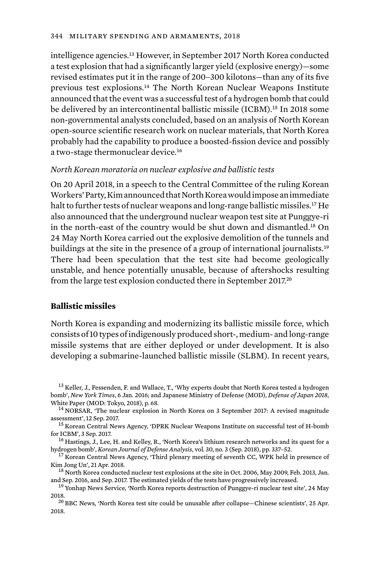intelligence agencies.13 However, in September 2017 North Korea conducted a test explosion that had a significantly larger yield (explosive energy)—some revised estimates put it in the range of 200–300 kilotons—than any of its five previous test explosions.14 The North Korean Nuclear Weapons Institute announced that the event was a successful test of a hydrogen bomb that could be delivered by an intercontinental ballistic missile (ICBM).<sup>15</sup> In 2018 some non-governmental analysts concluded, based on an analysis of North Korean open-source scientific research work on nuclear materials, that North Korea probably had the capability to produce a boosted-fission device and possibly a two-stage thermonuclear device.<sup>16</sup>

## *North Korean moratoria on nuclear explosive and ballistic tests*

On 20 April 2018, in a speech to the Central Committee of the ruling Korean Workers' Party, Kim announced that North Korea would impose an immediate halt to further tests of nuclear weapons and long-range ballistic missiles.17 He also announced that the underground nuclear weapon test site at Punggye-ri in the north-east of the country would be shut down and dismantled.18 On 24 May North Korea carried out the explosive demolition of the tunnels and buildings at the site in the presence of a group of international journalists.<sup>19</sup> There had been speculation that the test site had become geologically unstable, and hence potentially unusable, because of aftershocks resulting from the large test explosion conducted there in September 2017.<sup>20</sup>

## **Ballistic missiles**

North Korea is expanding and modernizing its ballistic missile force, which consists of 10 types of indigenously produced short-, medium- and long-range missile systems that are either deployed or under development. It is also developing a submarine-launched ballistic missile (SLBM). In recent years,

<sup>&</sup>lt;sup>13</sup> Keller, J., Fessenden, F. and Wallace, T., 'Why experts doubt that North Korea tested a hydrogen bomb', *New York Times*, 6 Jan. 2016; and Japanese Ministry of Defense (MOD), *Defense of Japan 2018*, White Paper (MOD: Tokyo, 2018), p. 68.<br><sup>14</sup> NORSAR, 'The nuclear explosion in North Korea on 3 September 2017: A revised magnitude

assessment', 12 Sep. 2017.<br><sup>15</sup> Korean Central News Agency, 'DPRK Nuclear Weapons Institute on successful test of H-bomb

for ICBM', 3 Sep. 2017.<br><sup>16</sup> Hastings, J., Lee, H. and Kelley, R., 'North Korea's lithium research networks and its quest for a

hydrogen bomb', *Korean Journal of Defense Analysis*, vol. 30, no. 3 (Sep. 2018), pp. 337–52. <sup>17</sup> Korean Central News Agency, 'Third plenary meeting of seventh CC, WPK held in presence of

Kim Jong Un', 21 Apr. 2018.<br><sup>18</sup> North Korea conducted nuclear test explosions at the site in Oct. 2006, May 2009, Feb. 2013, Jan.<br>and Sep. 2016, and Sep. 2017. The estimated yields of the tests have progressively increase

<sup>&</sup>lt;sup>19</sup> Yonhap News Service, 'North Korea reports destruction of Punggye-ri nuclear test site', 24 May

<sup>2018. 2018. 2018. 2018. 2018. 2018. 2018. 2018. 2018. 2018. 2018. 2018. 2018. 2018. 2018. 2018. 2018. 2018. 20&</sup>lt;br>20 BBC News, 'North Korea test site could be unusable after collapse—Chinese scientists', 25 Apr. 2018.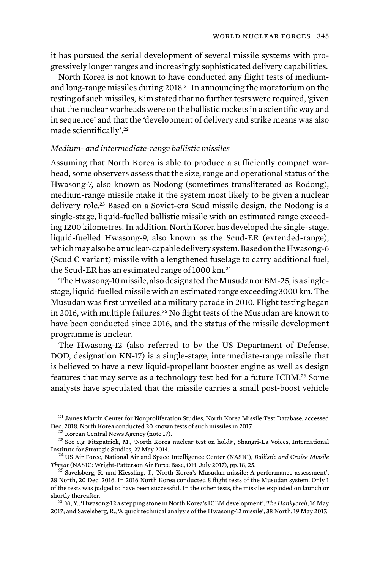it has pursued the serial development of several missile systems with progressively longer ranges and increasingly sophisticated delivery capabilities.

North Korea is not known to have conducted any flight tests of mediumand long-range missiles during 2018.<sup>21</sup> In announcing the moratorium on the testing of such missiles, Kim stated that no further tests were required, 'given that the nuclear warheads were on the ballistic rockets in a scientific way and in sequence' and that the 'development of delivery and strike means was also made scientifically'.<sup>22</sup>

# *Medium- and intermediate-range ballistic missiles*

Assuming that North Korea is able to produce a sufficiently compact warhead, some observers assess that the size, range and operational status of the Hwasong-7, also known as Nodong (sometimes transliterated as Rodong), medium-range missile make it the system most likely to be given a nuclear delivery role.23 Based on a Soviet-era Scud missile design, the Nodong is a single-stage, liquid-fuelled ballistic missile with an estimated range exceeding 1200 kilometres. In addition, North Korea has developed the single-stage, liquid-fuelled Hwasong-9, also known as the Scud-ER (extended-range), which may also be a nuclear-capable delivery system. Based on the Hwasong-6 (Scud C variant) missile with a lengthened fuselage to carry additional fuel, the Scud-ER has an estimated range of 1000 km.<sup>24</sup>

The Hwasong-10 missile, also designated the Musudan or BM-25, is a singlestage, liquid-fuelled missile with an estimated range exceeding 3000 km. The Musudan was first unveiled at a military parade in 2010. Flight testing began in 2016, with multiple failures.<sup>25</sup> No flight tests of the Musudan are known to have been conducted since 2016, and the status of the missile development programme is unclear.

The Hwasong-12 (also referred to by the US Department of Defense, DOD, designation KN-17) is a single-stage, intermediate-range missile that is believed to have a new liquid-propellant booster engine as well as design features that may serve as a technology test bed for a future ICBM.26 Some analysts have speculated that the missile carries a small post-boost vehicle

 $^{21}$  James Martin Center for Nonproliferation Studies, North Korea Missile Test Database, accessed<br>Dec. 2018. North Korea conducted 20 known tests of such missiles in 2017.

<sup>&</sup>lt;sup>22</sup> Korean Central News Agency (note 17).<br><sup>23</sup> See e.g. Fitzpatrick, M., 'North Korea nuclear test on hold?', Shangri-La Voices, International Institute for Strategic Studies, 27 May 2014. <sup>24</sup> US Air Force, National Air and Space Intelligence Center (NASIC), *Ballistic and Cruise Missile* 

*Threat* (NASIC: Wright-Patterson Air Force Base, OH, July 2017), pp. 18, 25. <sup>25</sup> Savelsberg, R. and Kiessling, J., 'North Korea's Musudan missile: A performance assessment',

<sup>38</sup> North, 20 Dec. 2016. In 2016 North Korea conducted 8 flight tests of the Musudan system. Only 1 of the tests was judged to have been successful. In the other tests, the missiles exploded on launch or

<sup>&</sup>lt;sup>26</sup> Yi, Y., 'Hwasong-12 a stepping stone in North Korea's ICBM development', *The Hankyoreh*, 16 May 2017; and Savelsberg, R., 'A quick technical analysis of the Hwasong-12 missile', 38 North, 19 May 2017.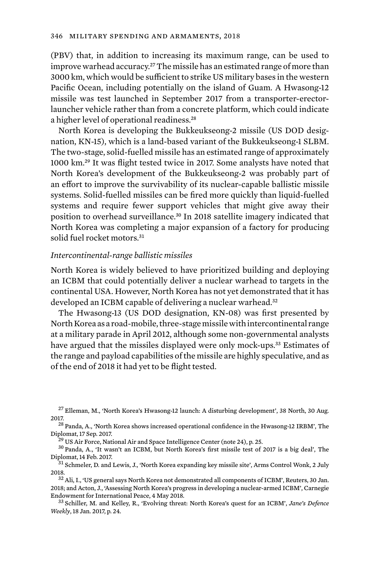(PBV) that, in addition to increasing its maximum range, can be used to improve warhead accuracy.27 The missile has an estimated range of more than 3000 km, which would be sufficient to strike US military bases in the western Pacific Ocean, including potentially on the island of Guam. A Hwasong-12 missile was test launched in September 2017 from a transporter-erectorlauncher vehicle rather than from a concrete platform, which could indicate a higher level of operational readiness.<sup>28</sup>

North Korea is developing the Bukkeukseong-2 missile (US DOD designation, KN-15), which is a land-based variant of the Bukkeukseong-1 SLBM. The two-stage, solid-fuelled missile has an estimated range of approximately 1000 km.29 It was flight tested twice in 2017. Some analysts have noted that North Korea's development of the Bukkeukseong-2 was probably part of an effort to improve the survivability of its nuclear-capable ballistic missile systems. Solid-fuelled missiles can be fired more quickly than liquid-fuelled systems and require fewer support vehicles that might give away their position to overhead surveillance.<sup>30</sup> In 2018 satellite imagery indicated that North Korea was completing a major expansion of a factory for producing solid fuel rocket motors<sup>31</sup>

#### *Intercontinental-range ballistic missiles*

North Korea is widely believed to have prioritized building and deploying an ICBM that could potentially deliver a nuclear warhead to targets in the continental USA. However, North Korea has not yet demonstrated that it has developed an ICBM capable of delivering a nuclear warhead.<sup>32</sup>

The Hwasong-13 (US DOD designation, KN-08) was first presented by North Korea as a road-mobile, three-stage missile with intercontinental range at a military parade in April 2012, although some non-governmental analysts have argued that the missiles displayed were only mock-ups.33 Estimates of the range and payload capabilities of the missile are highly speculative, and as of the end of 2018 it had yet to be flight tested.

 $^{27}$  Elleman, M., 'North Korea's Hwasong-12 launch: A disturbing development', 38 North, 30 Aug. 2017.<br><sup>28</sup> Panda, A., 'North Korea shows increased operational confidence in the Hwasong-12 IRBM', The

Diplomat, 17 Sep. 2017.<br><sup>29</sup> US Air Force, National Air and Space Intelligence Center (note 24), p. 25. <sup>30</sup> Panda, A., 'It wasn't an ICBM, but North Korea's first missile test of 2017 is a big deal', The

Diplomat, 14 Feb. 2017.<br><sup>31</sup> Schmeler, D. and Lewis, J., 'North Korea expanding key missile site', Arms Control Wonk, 2 July

<sup>2018.</sup> <sup>32</sup> Ali, I., 'US general says North Korea not demonstrated all components of ICBM', Reuters, 30 Jan.

<sup>2018;</sup> and Acton, J., 'Assessing North Korea's progress in developing a nuclear-armed ICBM', Carnegie Endowment for International Peace, 4 May 2018. <sup>33</sup> Schiller, M. and Kelley, R., 'Evolving threat: North Korea's quest for an ICBM', *Jane's Defence* 

*Weekly*, 18 Jan. 2017, p. 24.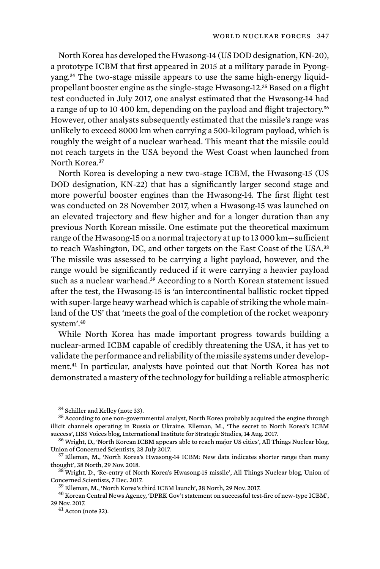North Korea has developed the Hwasong-14 (US DOD designation, KN-20), a prototype ICBM that first appeared in 2015 at a military parade in Pyongyang.34 The two-stage missile appears to use the same high-energy liquidpropellant booster engine as the single-stage Hwasong-12.35 Based on a flight test conducted in July 2017, one analyst estimated that the Hwasong-14 had a range of up to 10 400 km, depending on the payload and flight trajectory.<sup>36</sup> However, other analysts subsequently estimated that the missile's range was unlikely to exceed 8000 km when carrying a 500-kilogram payload, which is roughly the weight of a nuclear warhead. This meant that the missile could not reach targets in the USA beyond the West Coast when launched from North Korea.<sup>37</sup>

North Korea is developing a new two-stage ICBM, the Hwasong-15 (US DOD designation, KN-22) that has a significantly larger second stage and more powerful booster engines than the Hwasong-14. The first flight test was conducted on 28 November 2017, when a Hwasong-15 was launched on an elevated trajectory and flew higher and for a longer duration than any previous North Korean missile. One estimate put the theoretical maximum range of the Hwasong-15 on a normal trajectory at up to 13 000 km—sufficient to reach Washington, DC, and other targets on the East Coast of the USA.<sup>38</sup> The missile was assessed to be carrying a light payload, however, and the range would be significantly reduced if it were carrying a heavier payload such as a nuclear warhead.<sup>39</sup> According to a North Korean statement issued after the test, the Hwasong-15 is 'an intercontinental ballistic rocket tipped with super-large heavy warhead which is capable of striking the whole mainland of the US' that 'meets the goal of the completion of the rocket weaponry system'.<sup>40</sup>

While North Korea has made important progress towards building a nuclear-armed ICBM capable of credibly threatening the USA, it has yet to validate the performance and reliability of the missile systems under development.41 In particular, analysts have pointed out that North Korea has not demonstrated a mastery of the technology for building a reliable atmospheric

 $34$  Schiller and Kelley (note 33).<br> $35$  According to one non-governmental analyst, North Korea probably acquired the engine through illicit channels operating in Russia or Ukraine. Elleman, M., 'The secret to North Korea's ICBM

success', IISS Voices blog, International Institute for Strategic Studies, 14 Aug. 2017.<br><sup>36</sup> Wright, D., 'North Korean ICBM appears able to reach major US cities', All Things Nuclear blog,<br>Union of Concerned Scientists, 2

 $37$  Elleman, M., 'North Korea's Hwasong-14 ICBM: New data indicates shorter range than many

thought', 38 North, 29 Nov. 2018.<br><sup>38</sup> Wright, D., 'Re-entry of North Korea's Hwasong-15 missile', All Things Nuclear blog, Union of<br>Concerned Scientists. 7 Dec. 2017.

<sup>&</sup>lt;sup>39</sup> Elleman, M., 'North Korea's third ICBM launch', 38 North, 29 Nov. 2017.<br><sup>40</sup> Korean Central News Agency, 'DPRK Gov't statement on successful test-fire of new-type ICBM', 29 Nov. 2017. <sup>41</sup> Acton (note 32).